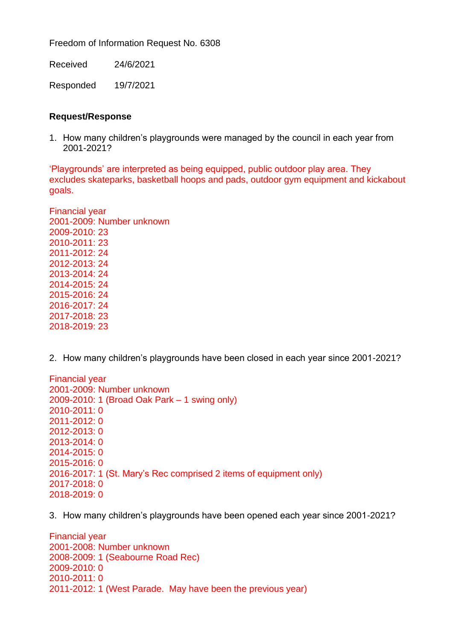Freedom of Information Request No. 6308

Received 24/6/2021

Responded 19/7/2021

## **Request/Response**

1. How many children's playgrounds were managed by the council in each year from 2001-2021?

'Playgrounds' are interpreted as being equipped, public outdoor play area. They excludes skateparks, basketball hoops and pads, outdoor gym equipment and kickabout goals.

Financial year 2001-2009: Number unknown 2009-2010: 23 2010-2011: 23 2011-2012: 24 2012-2013: 24 2013-2014: 24 2014-2015: 24 2015-2016: 24 2016-2017: 24 2017-2018: 23 2018-2019: 23

2. How many children's playgrounds have been closed in each year since 2001-2021?

Financial year 2001-2009: Number unknown 2009-2010: 1 (Broad Oak Park – 1 swing only) 2010-2011: 0 2011-2012: 0 2012-2013: 0 2013-2014: 0 2014-2015: 0 2015-2016: 0 2016-2017: 1 (St. Mary's Rec comprised 2 items of equipment only) 2017-2018: 0 2018-2019: 0

3. How many children's playgrounds have been opened each year since 2001-2021?

Financial year 2001-2008: Number unknown 2008-2009: 1 (Seabourne Road Rec) 2009-2010: 0 2010-2011: 0 2011-2012: 1 (West Parade. May have been the previous year)